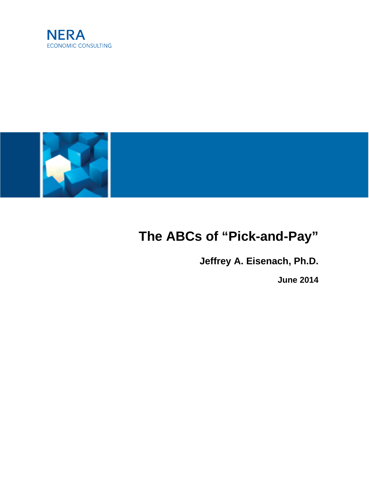



# **The ABCs of "Pick-and-Pay"**

**Jeffrey A. Eisenach, Ph.D.**

**June 2014**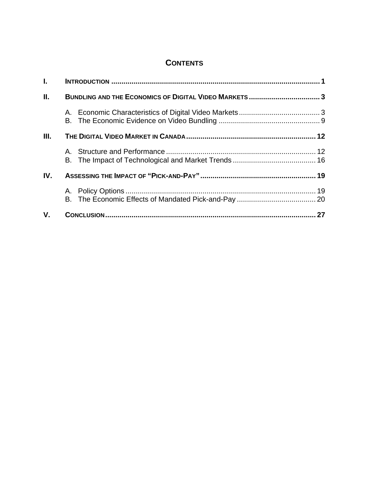# **CONTENTS**

| $\mathbf{L}$ |  |  |
|--------------|--|--|
| П.           |  |  |
|              |  |  |
| III.         |  |  |
|              |  |  |
| IV.          |  |  |
|              |  |  |
| V.           |  |  |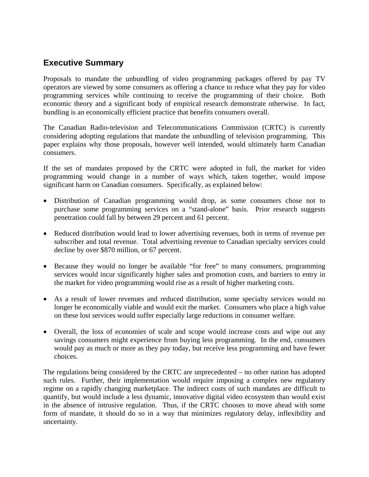## **Executive Summary**

Proposals to mandate the unbundling of video programming packages offered by pay TV operators are viewed by some consumers as offering a chance to reduce what they pay for video programming services while continuing to receive the programming of their choice. Both economic theory and a significant body of empirical research demonstrate otherwise. In fact, bundling is an economically efficient practice that benefits consumers overall.

The Canadian Radio-television and Telecommunications Commission (CRTC) is currently considering adopting regulations that mandate the unbundling of television programming. This paper explains why those proposals, however well intended, would ultimately harm Canadian consumers.

If the set of mandates proposed by the CRTC were adopted in full, the market for video programming would change in a number of ways which, taken together, would impose significant harm on Canadian consumers. Specifically, as explained below:

- Distribution of Canadian programming would drop, as some consumers chose not to purchase some programming services on a "stand-alone" basis. Prior research suggests penetration could fall by between 29 percent and 61 percent.
- Reduced distribution would lead to lower advertising revenues, both in terms of revenue per subscriber and total revenue. Total advertising revenue to Canadian specialty services could decline by over \$870 million, or 67 percent.
- Because they would no longer be available "for free" to many consumers, programming services would incur significantly higher sales and promotion costs, and barriers to entry in the market for video programming would rise as a result of higher marketing costs.
- As a result of lower revenues and reduced distribution, some specialty services would no longer be economically viable and would exit the market. Consumers who place a high value on these lost services would suffer especially large reductions in consumer welfare.
- Overall, the loss of economies of scale and scope would increase costs and wipe out any savings consumers might experience from buying less programming. In the end, consumers would pay as much or more as they pay today, but receive less programming and have fewer choices.

The regulations being considered by the CRTC are unprecedented – no other nation has adopted such rules. Further, their implementation would require imposing a complex new regulatory regime on a rapidly changing marketplace. The indirect costs of such mandates are difficult to quantify, but would include a less dynamic, innovative digital video ecosystem than would exist in the absence of intrusive regulation. Thus, if the CRTC chooses to move ahead with some form of mandate, it should do so in a way that minimizes regulatory delay, inflexibility and uncertainty.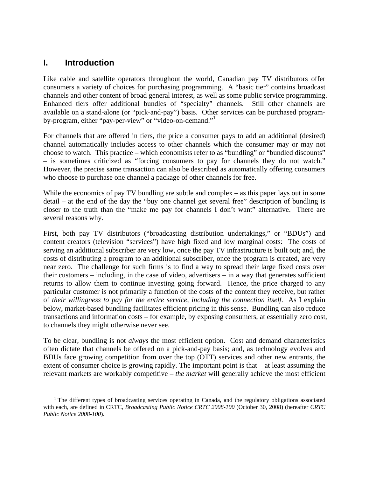### **I. Introduction**

 $\overline{a}$ 

Like cable and satellite operators throughout the world, Canadian pay TV distributors offer consumers a variety of choices for purchasing programming. A "basic tier" contains broadcast channels and other content of broad general interest, as well as some public service programming. Enhanced tiers offer additional bundles of "specialty" channels. Still other channels are available on a stand-alone (or "pick-and-pay") basis. Other services can be purchased programby-program, either "pay-per-view" or "video-on-demand."<sup>1</sup>

For channels that are offered in tiers, the price a consumer pays to add an additional (desired) channel automatically includes access to other channels which the consumer may or may not choose to watch. This practice – which economists refer to as "bundling" or "bundled discounts" – is sometimes criticized as "forcing consumers to pay for channels they do not watch." However, the precise same transaction can also be described as automatically offering consumers who choose to purchase one channel a package of other channels for free.

While the economics of pay TV bundling are subtle and complex – as this paper lays out in some detail – at the end of the day the "buy one channel get several free" description of bundling is closer to the truth than the "make me pay for channels I don't want" alternative. There are several reasons why.

First, both pay TV distributors ("broadcasting distribution undertakings," or "BDUs") and content creators (television "services") have high fixed and low marginal costs: The costs of serving an additional subscriber are very low, once the pay TV infrastructure is built out; and, the costs of distributing a program to an additional subscriber, once the program is created, are very near zero. The challenge for such firms is to find a way to spread their large fixed costs over their customers – including, in the case of video, advertisers – in a way that generates sufficient returns to allow them to continue investing going forward. Hence, the price charged to any particular customer is not primarily a function of the costs of the content they receive, but rather of *their willingness to pay for the entire service, including the connection itself*. As I explain below, market-based bundling facilitates efficient pricing in this sense. Bundling can also reduce transactions and information costs – for example, by exposing consumers, at essentially zero cost, to channels they might otherwise never see.

To be clear, bundling is not *always* the most efficient option. Cost and demand characteristics often dictate that channels be offered on a pick-and-pay basis; and, as technology evolves and BDUs face growing competition from over the top (OTT) services and other new entrants, the extent of consumer choice is growing rapidly. The important point is that – at least assuming the relevant markets are workably competitive – *the market* will generally achieve the most efficient

<sup>&</sup>lt;sup>1</sup> The different types of broadcasting services operating in Canada, and the regulatory obligations associated with each, are defined in CRTC, *Broadcasting Public Notice CRTC 2008-100* (October 30, 2008) (hereafter *CRTC Public Notice 2008-100*).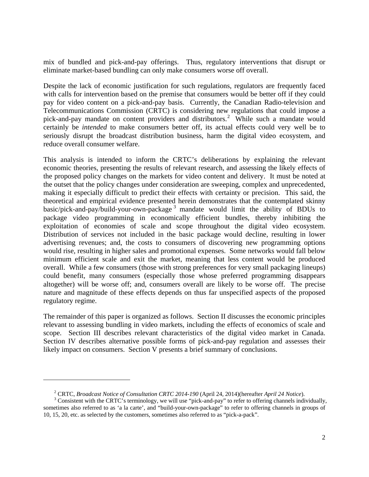mix of bundled and pick-and-pay offerings. Thus, regulatory interventions that disrupt or eliminate market-based bundling can only make consumers worse off overall.

Despite the lack of economic justification for such regulations, regulators are frequently faced with calls for intervention based on the premise that consumers would be better off if they could pay for video content on a pick-and-pay basis. Currently, the Canadian Radio-television and Telecommunications Commission (CRTC) is considering new regulations that could impose a pick-and-pay mandate on content providers and distributors.<sup>2</sup> While such a mandate would certainly be *intended* to make consumers better off, its actual effects could very well be to seriously disrupt the broadcast distribution business, harm the digital video ecosystem, and reduce overall consumer welfare.

This analysis is intended to inform the CRTC's deliberations by explaining the relevant economic theories, presenting the results of relevant research, and assessing the likely effects of the proposed policy changes on the markets for video content and delivery. It must be noted at the outset that the policy changes under consideration are sweeping, complex and unprecedented, making it especially difficult to predict their effects with certainty or precision. This said, the theoretical and empirical evidence presented herein demonstrates that the contemplated skinny basic/pick-and-pay/build-your-own-package 3 mandate would limit the ability of BDUs to package video programming in economically efficient bundles, thereby inhibiting the exploitation of economies of scale and scope throughout the digital video ecosystem. Distribution of services not included in the basic package would decline, resulting in lower advertising revenues; and, the costs to consumers of discovering new programming options would rise, resulting in higher sales and promotional expenses. Some networks would fall below minimum efficient scale and exit the market, meaning that less content would be produced overall. While a few consumers (those with strong preferences for very small packaging lineups) could benefit, many consumers (especially those whose preferred programming disappears altogether) will be worse off; and, consumers overall are likely to be worse off. The precise nature and magnitude of these effects depends on thus far unspecified aspects of the proposed regulatory regime.

The remainder of this paper is organized as follows. Section II discusses the economic principles relevant to assessing bundling in video markets, including the effects of economics of scale and scope. Section III describes relevant characteristics of the digital video market in Canada. Section IV describes alternative possible forms of pick-and-pay regulation and assesses their likely impact on consumers. Section V presents a brief summary of conclusions.

<sup>&</sup>lt;sup>2</sup> CRTC, *Broadcast Notice of Consultation CRTC 2014-190* (April 24, 2014)(hereafter *April 24 Notice*). <sup>3</sup> Consistent with the CBTC's terminal agree will use "right and nori" to refer to effective channels in distri

<sup>&</sup>lt;sup>3</sup> Consistent with the CRTC's terminology, we will use "pick-and-pay" to refer to offering channels individually, sometimes also referred to as 'a la carte', and "build-your-own-package" to refer to offering channels in groups of 10, 15, 20, etc. as selected by the customers, sometimes also referred to as "pick-a-pack".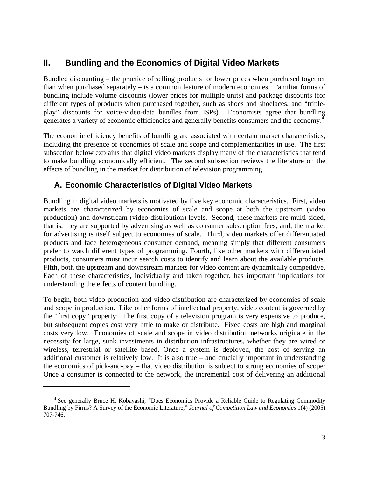# **II. Bundling and the Economics of Digital Video Markets**

Bundled discounting – the practice of selling products for lower prices when purchased together than when purchased separately – is a common feature of modern economies. Familiar forms of bundling include volume discounts (lower prices for multiple units) and package discounts (for different types of products when purchased together, such as shoes and shoelaces, and "tripleplay" discounts for voice-video-data bundles from ISPs). Economists agree that bundling generates a variety of economic efficiencies and generally benefits consumers and the economy.<sup>4</sup>

The economic efficiency benefits of bundling are associated with certain market characteristics, including the presence of economies of scale and scope and complementarities in use. The first subsection below explains that digital video markets display many of the characteristics that tend to make bundling economically efficient. The second subsection reviews the literature on the effects of bundling in the market for distribution of television programming.

#### **A. Economic Characteristics of Digital Video Markets**

Bundling in digital video markets is motivated by five key economic characteristics. First, video markets are characterized by economies of scale and scope at both the upstream (video production) and downstream (video distribution) levels. Second, these markets are multi-sided, that is, they are supported by advertising as well as consumer subscription fees; and, the market for advertising is itself subject to economies of scale. Third, video markets offer differentiated products and face heterogeneous consumer demand, meaning simply that different consumers prefer to watch different types of programming. Fourth, like other markets with differentiated products, consumers must incur search costs to identify and learn about the available products. Fifth, both the upstream and downstream markets for video content are dynamically competitive. Each of these characteristics, individually and taken together, has important implications for understanding the effects of content bundling.

To begin, both video production and video distribution are characterized by economies of scale and scope in production. Like other forms of intellectual property, video content is governed by the "first copy" property: The first copy of a television program is very expensive to produce, but subsequent copies cost very little to make or distribute. Fixed costs are high and marginal costs very low. Economies of scale and scope in video distribution networks originate in the necessity for large, sunk investments in distribution infrastructures, whether they are wired or wireless, terrestrial or satellite based. Once a system is deployed, the cost of serving an additional customer is relatively low. It is also true – and crucially important in understanding the economics of pick-and-pay – that video distribution is subject to strong economies of scope: Once a consumer is connected to the network, the incremental cost of delivering an additional

<sup>&</sup>lt;sup>4</sup> See generally Bruce H. Kobayashi, "Does Economics Provide a Reliable Guide to Regulating Commodity Bundling by Firms? A Survey of the Economic Literature," *Journal of Competition Law and Economics* 1(4) (2005) 707-746.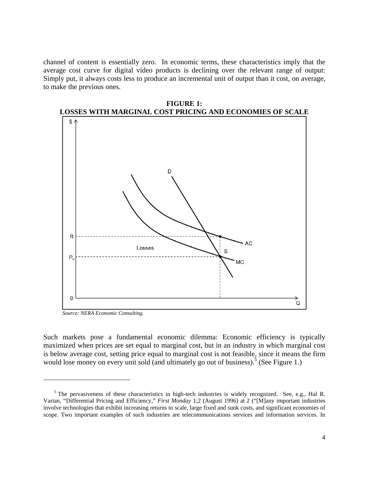channel of content is essentially zero. In economic terms, these characteristics imply that the average cost curve for digital video products is declining over the relevant range of output: Simply put, it always costs less to produce an incremental unit of output than it cost, on average, to make the previous ones.



**FIGURE 1:** 

*Source: NERA Economic Consulting.* 

1

Such markets pose a fundamental economic dilemma: Economic efficiency is typically maximized when prices are set equal to marginal cost, but in an industry in which marginal cost is below average cost, setting price equal to marginal cost is not feasible, since it means the firm would lose money on every unit sold (and ultimately go out of business).<sup>5</sup> (See Figure 1.)

<sup>&</sup>lt;sup>5</sup> The pervasiveness of these characteristics in high-tech industries is widely recognized. See, e.g., Hal R. Varian, "Differential Pricing and Efficiency," *First Monday* 1;2 (August 1996) at 2 ("[M]any important industries involve technologies that exhibit increasing returns to scale, large fixed and sunk costs, and significant economies of scope. Two important examples of such industries are telecommunications services and information services. In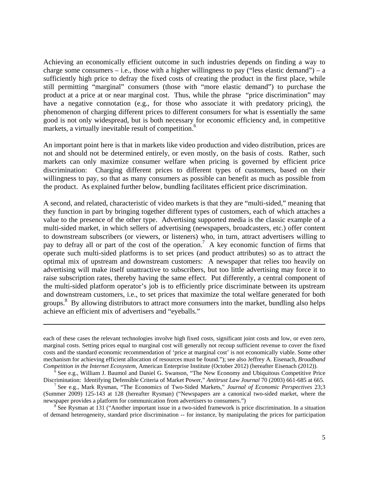Achieving an economically efficient outcome in such industries depends on finding a way to charge some consumers – i.e., those with a higher willingness to pay ("less elastic demand") – a sufficiently high price to defray the fixed costs of creating the product in the first place, while still permitting "marginal" consumers (those with "more elastic demand") to purchase the product at a price at or near marginal cost. Thus, while the phrase "price discrimination" may have a negative connotation (e.g., for those who associate it with predatory pricing), the phenomenon of charging different prices to different consumers for what is essentially the same good is not only widespread, but is both necessary for economic efficiency and, in competitive markets, a virtually inevitable result of competition.<sup>6</sup>

An important point here is that in markets like video production and video distribution, prices are not and should not be determined entirely, or even mostly, on the basis of costs. Rather, such markets can only maximize consumer welfare when pricing is governed by efficient price discrimination: Charging different prices to different types of customers, based on their willingness to pay, so that as many consumers as possible can benefit as much as possible from the product. As explained further below, bundling facilitates efficient price discrimination.

A second, and related, characteristic of video markets is that they are "multi-sided," meaning that they function in part by bringing together different types of customers, each of which attaches a value to the presence of the other type. Advertising supported media is the classic example of a multi-sided market, in which sellers of advertising (newspapers, broadcasters, etc.) offer content to downstream subscribers (or viewers, or listeners) who, in turn, attract advertisers willing to pay to defray all or part of the cost of the operation.<sup>7</sup> A key economic function of firms that operate such multi-sided platforms is to set prices (and product attributes) so as to attract the optimal mix of upstream and downstream customers: A newspaper that relies too heavily on advertising will make itself unattractive to subscribers, but too little advertising may force it to raise subscription rates, thereby having the same effect. Put differently, a central component of the multi-sided platform operator's job is to efficiently price discriminate between its upstream and downstream customers, i.e., to set prices that maximize the total welfare generated for both groups.<sup>8</sup> By allowing distributors to attract more consumers into the market, bundling also helps achieve an efficient mix of advertisers and "eyeballs."

1

See Rysman at 131 ("Another important issue in a two-sided framework is price discrimination. In a situation of demand heterogeneity, standard price discrimination -- for instance, by manipulating the prices for participation

each of these cases the relevant technologies involve high fixed costs, significant joint costs and low, or even zero, marginal costs. Setting prices equal to marginal cost will generally not recoup sufficient revenue to cover the fixed costs and the standard economic recommendation of 'price at marginal cost' is not economically viable. Some other mechanism for achieving efficient allocation of resources must be found."); see also Jeffrey A. Eisenach, *Broadband Competition in the Internet Ecosystem*, American Enterprise Institute (October 2012) (hereafter Eisenach (2012)).

 $<sup>6</sup>$  See e.g., William J. Baumol and Daniel G. Swanson, "The New Economy and Ubiquitous Competitive Price</sup> Discrimination: Identifying Defensible Criteria of Market Power," *Antitrust Law Journal* 70 (2003) 661-685 at 665. 7

See e.g., Mark Rysman, "The Economics of Two-Sided Markets," *Journal of Economic Perspectives* 23;3 (Summer 2009) 125-143 at 128 (hereafter Rysman) ("Newspapers are a canonical two-sided market, where the newspaper provides a platform for communication from advertisers to consumers.")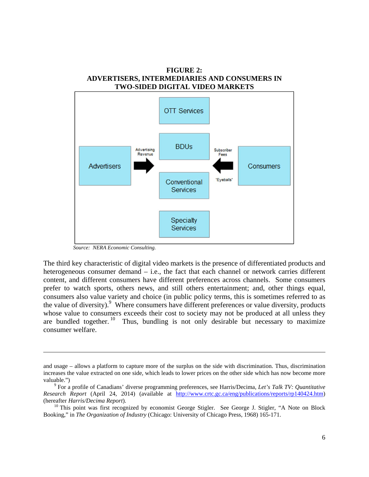#### **FIGURE 2: ADVERTISERS, INTERMEDIARIES AND CONSUMERS IN TWO-SIDED DIGITAL VIDEO MARKETS**



*Source: NERA Economic Consulting.* 

1

The third key characteristic of digital video markets is the presence of differentiated products and heterogeneous consumer demand – i.e., the fact that each channel or network carries different content, and different consumers have different preferences across channels. Some consumers prefer to watch sports, others news, and still others entertainment; and, other things equal, consumers also value variety and choice (in public policy terms, this is sometimes referred to as the value of diversity).<sup>9</sup> Where consumers have different preferences or value diversity, products whose value to consumers exceeds their cost to society may not be produced at all unless they are bundled together. <sup>10</sup> Thus, bundling is not only desirable but necessary to maximize consumer welfare.

and usage – allows a platform to capture more of the surplus on the side with discrimination. Thus, discrimination increases the value extracted on one side, which leads to lower prices on the other side which has now become more valuable."

For a profile of Canadians' diverse programming preferences, see Harris/Decima, *Let's Talk TV: Quantitative Research Report* (April 24, 2014) (available at http://www.crtc.gc.ca/eng/publications/reports/rp140424.htm) (hereafter *Harris/Decima Report*). 10 This point was first recognized by economist George Stigler. See George J. Stigler, "A Note on Block

Booking," in *The Organization of Industry* (Chicago: University of Chicago Press, 1968) 165-171.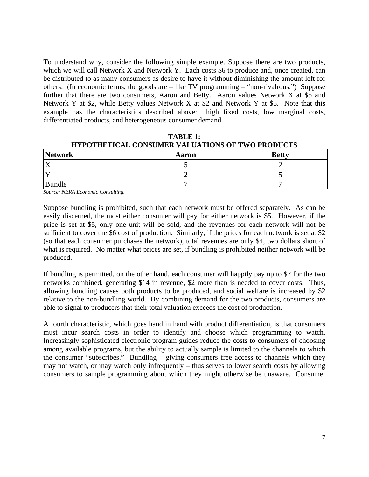To understand why, consider the following simple example. Suppose there are two products, which we will call Network X and Network Y. Each costs \$6 to produce and, once created, can be distributed to as many consumers as desire to have it without diminishing the amount left for others. (In economic terms, the goods are – like TV programming – "non-rivalrous.") Suppose further that there are two consumers, Aaron and Betty. Aaron values Network X at \$5 and Network Y at \$2, while Betty values Network X at \$2 and Network Y at \$5. Note that this example has the characteristics described above: high fixed costs, low marginal costs, differentiated products, and heterogeneous consumer demand.

| HYPUTHETICAL CONSUMER VALUATIONS OF TWO PRODUCTS |       |              |  |  |  |  |  |
|--------------------------------------------------|-------|--------------|--|--|--|--|--|
| Network                                          | Aaron | <b>Betty</b> |  |  |  |  |  |
|                                                  |       |              |  |  |  |  |  |
|                                                  |       |              |  |  |  |  |  |
| <b>Bundle</b>                                    |       |              |  |  |  |  |  |

**TABLE 1: HYPOTHETICAL CONSUMER VALUATIONS OF TWO PRODUCTS** 

*Source: NERA Economic Consulting.* 

Suppose bundling is prohibited, such that each network must be offered separately. As can be easily discerned, the most either consumer will pay for either network is \$5. However, if the price is set at \$5, only one unit will be sold, and the revenues for each network will not be sufficient to cover the \$6 cost of production. Similarly, if the prices for each network is set at \$2 (so that each consumer purchases the network), total revenues are only \$4, two dollars short of what is required. No matter what prices are set, if bundling is prohibited neither network will be produced.

If bundling is permitted, on the other hand, each consumer will happily pay up to \$7 for the two networks combined, generating \$14 in revenue, \$2 more than is needed to cover costs. Thus, allowing bundling causes both products to be produced, and social welfare is increased by \$2 relative to the non-bundling world. By combining demand for the two products, consumers are able to signal to producers that their total valuation exceeds the cost of production.

A fourth characteristic, which goes hand in hand with product differentiation, is that consumers must incur search costs in order to identify and choose which programming to watch. Increasingly sophisticated electronic program guides reduce the costs to consumers of choosing among available programs, but the ability to actually sample is limited to the channels to which the consumer "subscribes." Bundling – giving consumers free access to channels which they may not watch, or may watch only infrequently – thus serves to lower search costs by allowing consumers to sample programming about which they might otherwise be unaware. Consumer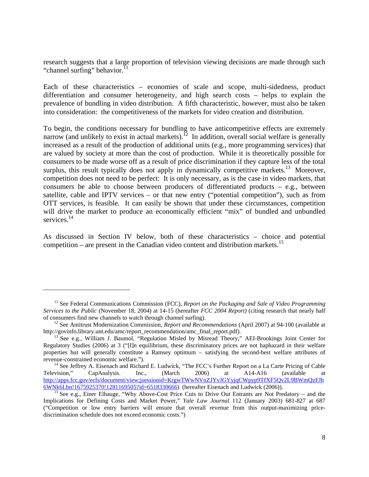research suggests that a large proportion of television viewing decisions are made through such "channel surfing" behavior.<sup>1</sup>

Each of these characteristics – economies of scale and scope, multi-sidedness, product differentiation and consumer heterogeneity, and high search costs – helps to explain the prevalence of bundling in video distribution. A fifth characteristic, however, must also be taken into consideration: the competitiveness of the markets for video creation and distribution.

To begin, the conditions necessary for bundling to have anticompetitive effects are extremely narrow (and unlikely to exist in actual markets).<sup> $12$ </sup> In addition, overall social welfare is generally increased as a result of the production of additional units (e.g., more programming services) that are valued by society at more than the cost of production. While it is theoretically possible for consumers to be made worse off as a result of price discrimination if they capture less of the total surplus, this result typically does not apply in dynamically competitive markets.<sup>13</sup> Moreover, competition does not need to be perfect: It is only necessary, as is the case in video markets, that consumers be able to choose between producers of differentiated products  $-$  e.g., between satellite, cable and IPTV services – or that new entry ("potential competition"), such as from OTT services, is feasible. It can easily be shown that under these circumstances, competition will drive the market to produce an economically efficient "mix" of bundled and unbundled services.<sup>14</sup>

As discussed in Section IV below, both of these characteristics – choice and potential competition – are present in the Canadian video content and distribution markets.<sup>15</sup>

<sup>&</sup>lt;sup>11</sup> See Federal Communications Commission (FCC), *Report on the Packaging and Sale of Video Programming Services to the Public* (November 18, 2004) at 14-15 (hereafter *FCC 2004 Report)* (citing research that nearly half

<sup>&</sup>lt;sup>12</sup> See Antitrust Modernization Commission, *Report and Recommendations* (April 2007) at 94-100 (available at http://govinfo.library.unt.edu/amc/report\_recommendation/amc\_final\_report.pdf).

 $h^{\text{13}}$  See e.g., William J. Baumol, "Regulation Misled by Misread Theory," AEI-Brookings Joint Center for Regulatory Studies (2006) at 3 ("[I]n equilibrium, these discriminatory prices are not haphazard in their welfare properties but will generally constitute a Ramsey optimum – satisfying the second-best welfare attributes of

revenue-constrained economic welfare.").<br>
<sup>14</sup> See Jeffrey A. Eisenach and Richard E. Ludwick, "The FCC's Further Report on a La Carte Pricing of Cable<br>
Television," CapAnalysis. Inc., (March 2006) at A14-A16 (available at CapAnalysis. Inc., (March 2006) at A14-A16 (available at http://apps.fcc.gov/ecfs/document/view;jsessionid=KrgwTWwNVnZJYvJGYyjqCWpyp9TfXF5Qv2L9BWmQzFJh 6WNk6Lbn!1675925370!1281169505?id=6518330666) (hereafter Eisenach and Ludwick (2006)).<br><sup>15</sup> See e.g., Einer Elhauge, "Why Above-Cost Price Cuts to Drive Out Entrants are Not Predatory – and the

Implications for Defining Costs and Market Power," *Yale Law Journal* 112 (January 2003) 681-827 at 687 ("Competition or low entry barriers will ensure that overall revenue from this output-maximizing pricediscrimination schedule does not exceed economic costs.")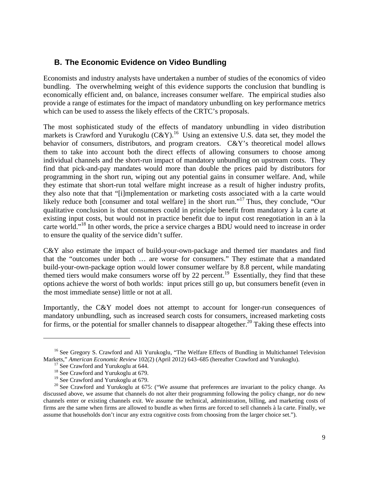#### **B. The Economic Evidence on Video Bundling**

Economists and industry analysts have undertaken a number of studies of the economics of video bundling. The overwhelming weight of this evidence supports the conclusion that bundling is economically efficient and, on balance, increases consumer welfare. The empirical studies also provide a range of estimates for the impact of mandatory unbundling on key performance metrics which can be used to assess the likely effects of the CRTC's proposals.

The most sophisticated study of the effects of mandatory unbundling in video distribution markets is Crawford and Yurukoglu  $(C&Y)$ .<sup>16</sup> Using an extensive U.S. data set, they model the behavior of consumers, distributors, and program creators. C&Y's theoretical model allows them to take into account both the direct effects of allowing consumers to choose among individual channels and the short-run impact of mandatory unbundling on upstream costs. They find that pick-and-pay mandates would more than double the prices paid by distributors for programming in the short run, wiping out any potential gains in consumer welfare. And, while they estimate that short-run total welfare might increase as a result of higher industry profits, they also note that that "[i]mplementation or marketing costs associated with a la carte would likely reduce both [consumer and total welfare] in the short run."<sup>17</sup> Thus, they conclude, "Our qualitative conclusion is that consumers could in principle benefit from mandatory à la carte at existing input costs, but would not in practice benefit due to input cost renegotiation in an à la carte world."<sup>18</sup> In other words, the price a service charges a BDU would need to increase in order to ensure the quality of the service didn't suffer.

C&Y also estimate the impact of build-your-own-package and themed tier mandates and find that the "outcomes under both … are worse for consumers." They estimate that a mandated build-your-own-package option would lower consumer welfare by 8.8 percent, while mandating themed tiers would make consumers worse off by 22 percent.<sup>19</sup> Essentially, they find that these options achieve the worst of both worlds: input prices still go up, but consumers benefit (even in the most immediate sense) little or not at all.

Importantly, the C&Y model does not attempt to account for longer-run consequences of mandatory unbundling, such as increased search costs for consumers, increased marketing costs for firms, or the potential for smaller channels to disappear altogether.<sup>20</sup> Taking these effects into

<sup>&</sup>lt;sup>16</sup> See Gregory S. Crawford and Ali Yurukoglu, "The Welfare Effects of Bundling in Multichannel Television Markets," *American Economic Review* 102(2) (April 2012) 643–685 (hereafter Crawford and Yurukoglu). 17 See Crawford and Yurukoglu at 644.

<sup>&</sup>lt;sup>18</sup> See Crawford and Yurukoglu at 679.

<sup>&</sup>lt;sup>19</sup> See Crawford and Yurukoglu at 679.

<sup>&</sup>lt;sup>20</sup> See Crawford and Yurukoglu at 675: ("We assume that preferences are invariant to the policy change. As discussed above, we assume that channels do not alter their programming following the policy change, nor do new channels enter or existing channels exit. We assume the technical, administration, billing, and marketing costs of firms are the same when firms are allowed to bundle as when firms are forced to sell channels à la carte. Finally, we assume that households don't incur any extra cognitive costs from choosing from the larger choice set.").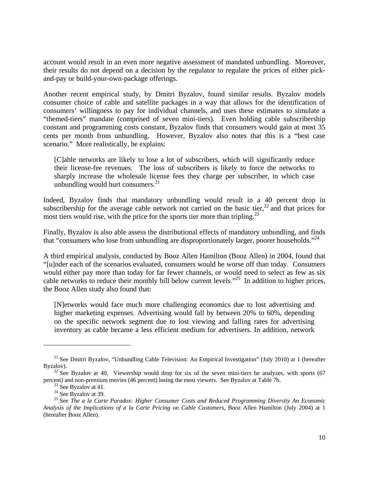account would result in an even more negative assessment of mandated unbundling. Moreover, their results do not depend on a decision by the regulator to regulate the prices of either pickand-pay or build-your-own-package offerings.

Another recent empirical study, by Dmitri Byzalov, found similar results. Byzalov models consumer choice of cable and satellite packages in a way that allows for the identification of consumers' willingness to pay for individual channels, and uses these estimates to simulate a "themed-tiers" mandate (comprised of seven mini-tiers). Even holding cable subscribership constant and programming costs constant, Byzalov finds that consumers would gain at most 35 cents per month from unbundling. However, Byzalov also notes that this is a "best case scenario." More realistically, he explains:

[C]able networks are likely to lose a lot of subscribers, which will significantly reduce their license-fee revenues. The loss of subscribers is likely to force the networks to sharply increase the wholesale license fees they charge per subscriber, in which case unbundling would hurt consumers. $^{21}$ 

Indeed, Byzalov finds that mandatory unbundling would result in a 40 percent drop in subscribership for the average cable network not carried on the basic tier,  $22$  and that prices for most tiers would rise, with the price for the sports tier more than tripling.<sup>23</sup>

Finally, Byzalov is also able assess the distributional effects of mandatory unbundling, and finds that "consumers who lose from unbundling are disproportionately larger, poorer households."<sup>24</sup>

A third empirical analysis, conducted by Booz Allen Hamilton (Booz Allen) in 2004, found that "[u]nder each of the scenarios evaluated, consumers would be worse off than today. Consumers would either pay more than today for far fewer channels, or would need to select as few as six cable networks to reduce their monthly bill below current levels."25 In addition to higher prices, the Booz Allen study also found that:

[N]etworks would face much more challenging economics due to lost advertising and higher marketing expenses. Advertising would fall by between 20% to 60%, depending on the specific network segment due to lost viewing and falling rates for advertising inventory as cable became a less efficient medium for advertisers. In addition, network

<sup>&</sup>lt;sup>21</sup> See Dmitri Byzalov, "Unbundling Cable Television: An Empirical Investigation" (July 2010) at 1 (hereafter Byzalov).<br><sup>22</sup> See Byzalov at 40. Viewership would drop for six of the seven mini-tiers he analyzes, with sports (67

percent) and non-premium movies (46 percent) losing the most viewers. See Byzalov at Table 7b. 23 See Byzalov at 41.

 $24$  See Byzalov at 39.

<sup>25</sup> See *The a la Carte Paradox: Higher Consumer Costs and Reduced Programming Diversity An Economic Analysis of the Implications of a la Carte Pricing on Cable Customers*, Booz Allen Hamilton (July 2004) at 1 (hereafter Booz Allen).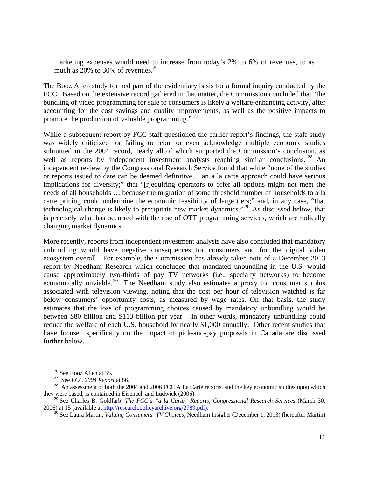marketing expenses would need to increase from today's 2% to 6% of revenues, to as much as  $20\%$  to 30% of revenues.<sup>26</sup>

The Booz Allen study formed part of the evidentiary basis for a formal inquiry conducted by the FCC. Based on the extensive record gathered in that matter, the Commission concluded that "the bundling of video programming for sale to consumers is likely a welfare-enhancing activity, after accounting for the cost savings and quality improvements, as well as the positive impacts to promote the production of valuable programming." <sup>27</sup>

While a subsequent report by FCC staff questioned the earlier report's findings, the staff study was widely criticized for failing to rebut or even acknowledge multiple economic studies submitted in the 2004 record, nearly all of which supported the Commission's conclusion, as well as reports by independent investment analysts reaching similar conclusions. <sup>28</sup> An independent review by the Congressional Research Service found that while "none of the studies or reports issued to date can be deemed definitive… an a la carte approach could have serious implications for diversity;" that "[r]equiring operators to offer all options might not meet the needs of all households … because the migration of some threshold number of households to a la carte pricing could undermine the economic feasibility of large tiers;" and, in any case, "that technological change is likely to precipitate new market dynamics."<sup>29</sup> As discussed below, that is precisely what has occurred with the rise of OTT programming services, which are radically changing market dynamics.

More recently, reports from independent investment analysts have also concluded that mandatory unbundling would have negative consequences for consumers and for the digital video ecosystem overall. For example, the Commission has already taken note of a December 2013 report by Needham Research which concluded that mandated unbundling in the U.S. would cause approximately two-thirds of pay TV networks (i.e., specialty networks) to become economically unviable.<sup>30</sup> The Needham study also estimates a proxy for consumer surplus associated with television viewing, noting that the cost per hour of television watched is far below consumers' opportunity costs, as measured by wage rates. On that basis, the study estimates that the loss of programming choices caused by mandatory unbundling would be between \$80 billion and \$113 billion per year – in other words, mandatory unbundling could reduce the welfare of each U.S. household by nearly \$1,000 annually. Other recent studies that have focused specifically on the impact of pick-and-pay proposals in Canada are discussed further below.

<sup>&</sup>lt;sup>26</sup> See Booz Allen at 35.<br><sup>27</sup> See *FCC* 2004 Report at 86.

<sup>&</sup>lt;sup>28</sup> An assessment of both the 2004 and 2006 FCC A La Carte reports, and the key economic studies upon which they were based, is contained in Eisenach and Ludwick (2006).

<sup>&</sup>lt;sup>29</sup> See Charles B. Goldfarb, *The FCC's "a la Carte" Reports, Congressional Research Services* (March 30, 2006) at 15 (available at http://research.policyarchive.org/2789.pdf).

<sup>&</sup>lt;sup>30</sup> See Laura Martin, *Valuing Consumers' TV Choices*, Needham Insights (December 1, 2013) (hereafter Martin).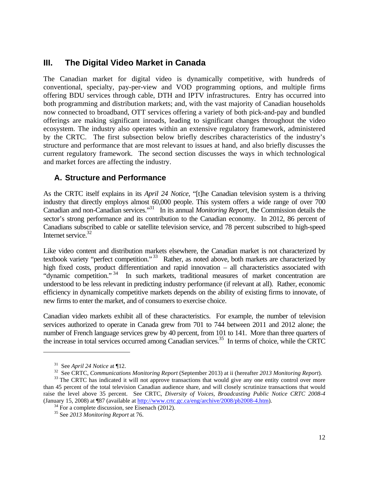#### **III. The Digital Video Market in Canada**

The Canadian market for digital video is dynamically competitive, with hundreds of conventional, specialty, pay-per-view and VOD programming options, and multiple firms offering BDU services through cable, DTH and IPTV infrastructures. Entry has occurred into both programming and distribution markets; and, with the vast majority of Canadian households now connected to broadband, OTT services offering a variety of both pick-and-pay and bundled offerings are making significant inroads, leading to significant changes throughout the video ecosystem. The industry also operates within an extensive regulatory framework, administered by the CRTC. The first subsection below briefly describes characteristics of the industry's structure and performance that are most relevant to issues at hand, and also briefly discusses the current regulatory framework. The second section discusses the ways in which technological and market forces are affecting the industry.

#### **A. Structure and Performance**

As the CRTC itself explains in its *April 24 Notice*, "[t]he Canadian television system is a thriving industry that directly employs almost 60,000 people. This system offers a wide range of over 700 Canadian and non-Canadian services."31 In its annual *Monitoring Report*, the Commission details the sector's strong performance and its contribution to the Canadian economy. In 2012, 86 percent of Canadians subscribed to cable or satellite television service, and 78 percent subscribed to high-speed Internet service.<sup>32</sup>

Like video content and distribution markets elsewhere, the Canadian market is not characterized by textbook variety "perfect competition."<sup>33</sup> Rather, as noted above, both markets are characterized by high fixed costs, product differentiation and rapid innovation – all characteristics associated with "dynamic competition." 34 In such markets, traditional measures of market concentration are understood to be less relevant in predicting industry performance (if relevant at all). Rather, economic efficiency in dynamically competitive markets depends on the ability of existing firms to innovate, of new firms to enter the market, and of consumers to exercise choice.

Canadian video markets exhibit all of these characteristics. For example, the number of television services authorized to operate in Canada grew from 701 to 744 between 2011 and 2012 alone; the number of French language services grew by 40 percent, from 101 to 141. More than three quarters of the increase in total services occurred among Canadian services.<sup>35</sup> In terms of choice, while the CRTC

<sup>&</sup>lt;sup>31</sup> See *April 24 Notice* at  $\P$ 12.<br><sup>32</sup> See CRTC, *Communications Monitoring Report* (September 2013) at ii (hereafter 2013 *Monitoring Report*).<br><sup>33</sup> The CRTC has indicated it will not approve transactions that would g

than 45 percent of the total television Canadian audience share, and will closely scrutinize transactions that would raise the level above 35 percent. See CRTC, *Diversity of Voices, Broadcasting Public Notice CRTC 2008-4* (January 15, 2008) at ¶87 (available at  $\frac{http://www.crtc.gc.ca/eng/archive/2008/pb2008-4.htm)}{34}$ .<br><sup>34</sup> For a complete discussion, see Eisenach (2012).

<sup>35</sup> See *2013 Monitoring Report* at 76.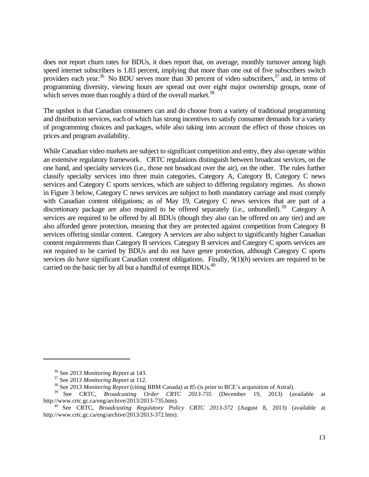does not report churn rates for BDUs, it does report that, on average, monthly turnover among high speed internet subscribers is 1.83 percent, implying that more than one out of five subscribers switch providers each year.<sup>36</sup> No BDU serves more than 30 percent of video subscribers,<sup>37</sup> and, in terms of programming diversity, viewing hours are spread out over eight major ownership groups, none of which serves more than roughly a third of the overall market.<sup>38</sup>

The upshot is that Canadian consumers can and do choose from a variety of traditional programming and distribution services, each of which has strong incentives to satisfy consumer demands for a variety of programming choices and packages, while also taking into account the effect of those choices on prices and program availability.

While Canadian video markets are subject to significant competition and entry, they also operate within an extensive regulatory framework. CRTC regulations distinguish between broadcast services, on the one hand, and specialty services (i.e., those not broadcast over the air), on the other. The rules further classify specialty services into three main categories, Category A, Category B, Category C news services and Category C sports services, which are subject to differing regulatory regimes. As shown in Figure 3 below, Category C news services are subject to both mandatory carriage and must comply with Canadian content obligations; as of May 19, Category C news services that are part of a discretionary package are also required to be offered separately (i.e., unbundled).<sup>39</sup> Category A services are required to be offered by all BDUs (though they also can be offered on any tier) and are also afforded genre protection, meaning that they are protected against competition from Category B services offering similar content. Category A services are also subject to significantly higher Canadian content requirements than Category B services. Category B services and Category C sports services are not required to be carried by BDUs and do not have genre protection, although Category C sports services do have significant Canadian content obligations. Finally, 9(1)(*h*) services are required to be carried on the basic tier by all but a handful of exempt BDUs.<sup>40</sup>

<sup>&</sup>lt;sup>36</sup> See *2013 Monitoring Report* at 143.<br><sup>37</sup> See *2013 Monitoring Report* at 112.<br><sup>38</sup> See *2013 Monitoring Report* (citing BBM Canada) at 85 (is prior to BCE's acquisition of Astral).

<sup>&</sup>lt;sup>39</sup> See CRTC, *Broadcasting Order CRTC 2013-735* (December 19, 2013) (available at http://www.crtc.gc.ca/eng/archive/2013/2013-735.htm).

<sup>&</sup>lt;sup>40</sup> See CRTC, *Broadcasting Regulatory Policy CRTC 2013-372* (August 8, 2013) (available at http://www.crtc.gc.ca/eng/archive/2013/2013-372.htm).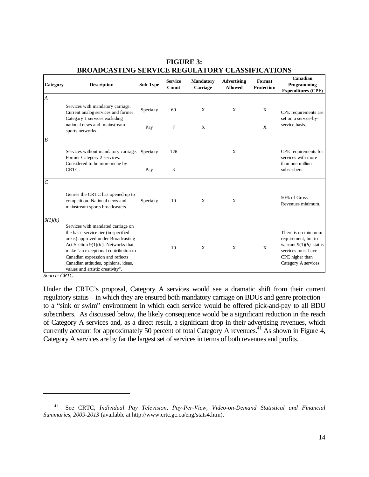| Category       | <b>Description</b>                                                                                                                                                                                                                                                                                                | Sub-Type  | <b>Service</b><br>Count | <b>Mandatory</b><br>Carriage | <b>Advertising</b><br><b>Allowed</b> | Format<br>Protection | Canadian<br>Programming<br><b>Expenditures (CPE)</b>                                                                                    |
|----------------|-------------------------------------------------------------------------------------------------------------------------------------------------------------------------------------------------------------------------------------------------------------------------------------------------------------------|-----------|-------------------------|------------------------------|--------------------------------------|----------------------|-----------------------------------------------------------------------------------------------------------------------------------------|
| $\overline{A}$ |                                                                                                                                                                                                                                                                                                                   |           |                         |                              |                                      |                      |                                                                                                                                         |
|                | Services with mandatory carriage.<br>Current analog services and former<br>Category 1 services excluding                                                                                                                                                                                                          | Specialty | 60                      | X                            | X                                    | X                    | CPE requirements are<br>set on a service-by-                                                                                            |
|                | national news and mainstream<br>sports networks.                                                                                                                                                                                                                                                                  | Pay       | 7                       | X                            |                                      | X                    | service basis.                                                                                                                          |
| $\overline{B}$ |                                                                                                                                                                                                                                                                                                                   |           |                         |                              |                                      |                      |                                                                                                                                         |
|                | Services without mandatory carriage.<br>Former Category 2 services.<br>Considered to be more niche by                                                                                                                                                                                                             | Specialty | 126                     |                              | X                                    |                      | CPE requirements for<br>services with more<br>than one million                                                                          |
|                | CRTC.                                                                                                                                                                                                                                                                                                             | Pay       | 3                       |                              |                                      |                      | subscribers.                                                                                                                            |
| C              |                                                                                                                                                                                                                                                                                                                   |           |                         |                              |                                      |                      |                                                                                                                                         |
|                | Genres the CRTC has opened up to<br>competition. National news and<br>mainstream sports broadcasters.                                                                                                                                                                                                             | Specialty | 10                      | X                            | X                                    |                      | 50% of Gross<br>Revenues minimum.                                                                                                       |
| 9(1)(h)        |                                                                                                                                                                                                                                                                                                                   |           |                         |                              |                                      |                      |                                                                                                                                         |
|                | Services with mandated carriage on<br>the basic service tier (in specified<br>areas) approved under Broadcasting<br>Act Section $9(1)(h)$ . Networks that<br>make "an exceptional contribution to<br>Canadian expression and reflects<br>Canadian attitudes, opinions, ideas,<br>values and artistic creativity". |           | 10                      | X                            | X                                    | X                    | There is no minimum<br>requirement, but to<br>warrant $9(1)(h)$ status<br>services must have<br>CPE higher than<br>Category A services. |

**FIGURE 3: BROADCASTING SERVICE REGULATORY CLASSIFICATIONS** 

*Source: CRTC.* 

 $\overline{a}$ 

Under the CRTC's proposal, Category A services would see a dramatic shift from their current regulatory status – in which they are ensured both mandatory carriage on BDUs and genre protection – to a "sink or swim" environment in which each service would be offered pick-and-pay to all BDU subscribers. As discussed below, the likely consequence would be a significant reduction in the reach of Category A services and, as a direct result, a significant drop in their advertising revenues, which currently account for approximately 50 percent of total Category A revenues.<sup>41</sup> As shown in Figure 4, Category A services are by far the largest set of services in terms of both revenues and profits.

<sup>41</sup> See CRTC, *Individual Pay Television, Pay-Per-View, Video-on-Demand Statistical and Financial Summaries*, *2009-2013* (available at http://www.crtc.gc.ca/eng/stats4.htm).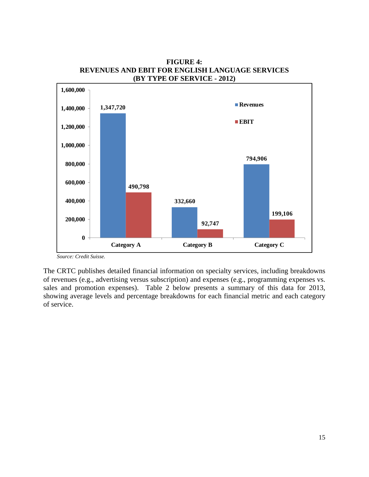![](_page_17_Figure_0.jpeg)

**FIGURE 4: REVENUES AND EBIT FOR ENGLISH LANGUAGE SERVICES (BY TYPE OF SERVICE - 2012)** 

The CRTC publishes detailed financial information on specialty services, including breakdowns of revenues (e.g., advertising versus subscription) and expenses (e.g., programming expenses vs. sales and promotion expenses). Table 2 below presents a summary of this data for 2013, showing average levels and percentage breakdowns for each financial metric and each category of service.

*Source: Credit Suisse.*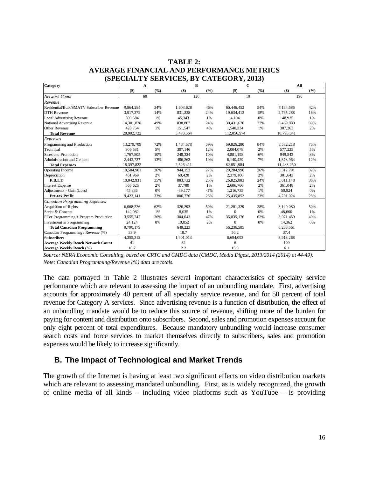| TABLE 2:                                         |
|--------------------------------------------------|
| <b>AVERAGE FINANCIAL AND PERFORMANCE METRICS</b> |
| (SPECIALTY SERVICES, BY CATEGORY, 2013)          |

| Category                                  | A          |       | B         |       | $\mathbf C$ |       | All        |       |
|-------------------------------------------|------------|-------|-----------|-------|-------------|-------|------------|-------|
|                                           | $($)$      | (9/6) | $($ \$)   | (9/6) | $($ \$)     | (9/6) | $($ \$)    | (9/6) |
| Network Count                             | 60         |       |           | 126   |             |       | 196        |       |
| Revenue                                   |            |       |           |       |             |       |            |       |
| Residential/Bulk/SMATV Subscriber Revenue | 9,864,284  | 34%   | 1,603,628 | 46%   | 60,446,452  | 54%   | 7.134.585  | 42%   |
| <b>DTH</b> Revenue                        | 3,917,272  | 14%   | 831,238   | 24%   | 19,634,413  | 18%   | 2,735,288  | 16%   |
| <b>Local Advertising Revenue</b>          | 390.584    | 1%    | 45,343    | 1%    | 4.104       | 0%    | 148,925    | 1%    |
| National Advertising Revenue              | 14,301,828 | 49%   | 838,807   | 24%   | 30,431,670  | 27%   | 6,469,980  | 39%   |
| Other Revenue                             | 428,754    | 1%    | 151,547   | 4%    | 1,540,334   | 1%    | 307,263    | 2%    |
| <b>Total Revenue</b>                      | 28,902,722 |       | 3,470,564 |       | 112,056,974 |       | 16,796,041 |       |
| Expenses                                  |            |       |           |       |             |       |            |       |
| Programming and Production                | 13,279,709 | 72%   | 1,484,678 | 59%   | 69,826,280  | 84%   | 8,582,218  | 75%   |
| Technical                                 | 906,581    | 5%    | 307,146   | 12%   | 2,004,078   | 2%    | 577,225    | 5%    |
| Sales and Promotion                       | 1.767.805  | 10%   | 248,324   | 10%   | 4,881,198   | 6%    | 949.843    | 8%    |
| Administration and General                | 2,443,727  | 13%   | 486,263   | 19%   | 6,140,429   | 7%    | 1,373,964  | 12%   |
| <b>Total Expenses</b>                     | 18,397,822 |       | 2,526,411 |       | 82,851,984  |       | 11,483,250 |       |
| Operating Income                          | 10,504,901 | 36%   | 944,152   | 27%   | 29,204,990  | 26%   | 5,312,791  | 32%   |
| Depreciation                              | 461.969    | 2%    | 60,420    | 2%    | 2,379,106   | 2%    | 301,643    | 2%    |
| <b>P.B.I.T.</b>                           | 10.042.931 | 35%   | 883.732   | 25%   | 26,825,883  | 24%   | 5,011,148  | 30%   |
| <b>Interest Expense</b>                   | 665.626    | 2%    | 37,780    | 1%    | 2,606,766   | 2%    | 361,048    | 2%    |
| Adjustments - Gain (Loss)                 | 45,836     | 0%    | $-39,177$ | $-1%$ | 1,216,735   | 1%    | 50,924     | 0%    |
| Pre-tax Profit                            | 9,423,141  | 33%   | 806,776   | 23%   | 25,435,852  | 23%   | 4,701,024  | 28%   |
| <b>Canadian Programming Expenses</b>      |            |       |           |       |             |       |            |       |
| Acquisition of Rights                     | 6,068,226  | 62%   | 326,293   | 50%   | 21,201,329  | 38%   | 3,149,080  | 50%   |
| Script & Concept                          | 142.082    | 1%    | 8,035     | 1%    | $\Omega$    | 0%    | 48.660     | 1%    |
| Filler Programming + Program Production   | 3,555,747  | 36%   | 304,043   | 47%   | 35,035,176  | 62%   | 3,071,459  | 49%   |
| Investment in Programming                 | 24,124     | 0%    | 10,852    | 2%    | $\Omega$    | 0%    | 14,362     | 0%    |
| <b>Total Canadian Programming</b>         | 9,790,179  |       | 649,223   |       | 56,236,505  |       | 6,283,561  |       |
| Canadian Programming / Revenue (%)        | 33.9       |       | 18.7      |       | 50.2        |       | 37.4       |       |
| <b>Subscribers</b>                        | 4,355,312  |       | 1,901,013 |       | 6,694,093   |       | 3,913,268  |       |
| <b>Average Weekly Reach Network Count</b> | 41         |       | 62        |       | 6           |       | 109        |       |
| Average Weekly Reach (%)                  | 10.7       |       | 2.2       |       | 15.9        |       | 6.1        |       |

Source: NERA Economic Consulting, based on CRTC and CMDC data (CMDC, Media Digest, 2013/2014 (2014) at 44-49). *Note: Canadian Programming/Revenue (%) data are totals.* 

The data portrayed in Table 2 illustrates several important characteristics of specialty service performance which are relevant to assessing the impact of an unbundling mandate. First, advertising accounts for approximately 40 percent of all specialty service revenue, and for 50 percent of total revenue for Category A services. Since advertising revenue is a function of distribution, the effect of an unbundling mandate would be to reduce this source of revenue, shifting more of the burden for paying for content and distribution onto subscribers. Second, sales and promotion expenses account for only eight percent of total expenditures. Because mandatory unbundling would increase consumer search costs and force services to market themselves directly to subscribers, sales and promotion expenses would be likely to increase significantly.

#### **B. The Impact of Technological and Market Trends**

The growth of the Internet is having at least two significant effects on video distribution markets which are relevant to assessing mandated unbundling. First, as is widely recognized, the growth of online media of all kinds – including video platforms such as YouTube – is providing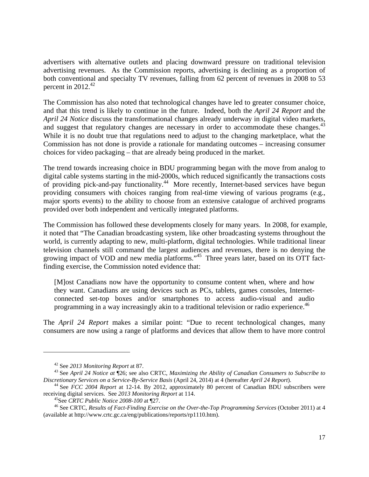advertisers with alternative outlets and placing downward pressure on traditional television advertising revenues. As the Commission reports, advertising is declining as a proportion of both conventional and specialty TV revenues, falling from 62 percent of revenues in 2008 to 53 percent in  $2012.<sup>42</sup>$ 

The Commission has also noted that technological changes have led to greater consumer choice, and that this trend is likely to continue in the future. Indeed, both the *April 24 Report* and the *April 24 Notice* discuss the transformational changes already underway in digital video markets, and suggest that regulatory changes are necessary in order to accommodate these changes.<sup>43</sup> While it is no doubt true that regulations need to adjust to the changing marketplace, what the Commission has not done is provide a rationale for mandating outcomes – increasing consumer choices for video packaging – that are already being produced in the market.

The trend towards increasing choice in BDU programming began with the move from analog to digital cable systems starting in the mid-2000s, which reduced significantly the transactions costs of providing pick-and-pay functionality.44 More recently, Internet-based services have begun providing consumers with choices ranging from real-time viewing of various programs (e.g., major sports events) to the ability to choose from an extensive catalogue of archived programs provided over both independent and vertically integrated platforms.

The Commission has followed these developments closely for many years. In 2008, for example, it noted that "The Canadian broadcasting system, like other broadcasting systems throughout the world, is currently adapting to new, multi-platform, digital technologies. While traditional linear television channels still command the largest audiences and revenues, there is no denying the growing impact of VOD and new media platforms."<sup>45</sup> Three years later, based on its OTT factfinding exercise, the Commission noted evidence that:

[M]ost Canadians now have the opportunity to consume content when, where and how they want. Canadians are using devices such as PCs, tablets, games consoles, Internetconnected set-top boxes and/or smartphones to access audio-visual and audio programming in a way increasingly akin to a traditional television or radio experience.<sup>46</sup>

The *April 24 Report* makes a similar point: "Due to recent technological changes, many consumers are now using a range of platforms and devices that allow them to have more control

<sup>&</sup>lt;sup>42</sup> See 2013 Monitoring Report at 87.<br><sup>43</sup> See *April 24 Notice at*  $\sqrt{26}$ ; see also CRTC, *Maximizing the Ability of Canadian Consumers to Subscribe to Discretionary Services on a Service-By-Service Basis* (April 24,

<sup>&</sup>lt;sup>44</sup> See *FCC 2004 Report* at 12-14. By 2012, approximately 80 percent of Canadian BDU subscribers were receiving digital services. See 2013 Monitoring Report at 114.<br><sup>45</sup>See CRTC Public Notice 2008-100 at 127.<br><sup>46</sup> See CRTC, Results of Fact-Finding Exercise on the Over-the-Top Programming Services (October 2011) at 4

<sup>(</sup>available at http://www.crtc.gc.ca/eng/publications/reports/rp1110.htm).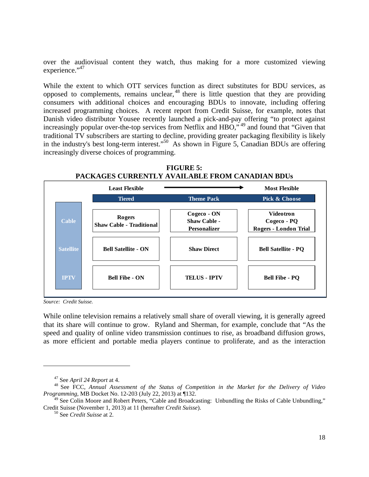over the audiovisual content they watch, thus making for a more customized viewing experience."<sup>47</sup>

While the extent to which OTT services function as direct substitutes for BDU services, as opposed to complements, remains unclear,  $48$  there is little question that they are providing consumers with additional choices and encouraging BDUs to innovate, including offering increased programming choices. A recent report from Credit Suisse, for example, notes that Danish video distributor Yousee recently launched a pick-and-pay offering "to protect against increasingly popular over-the-top services from Netflix and HBO,"<sup>49</sup> and found that "Given that traditional TV subscribers are starting to decline, providing greater packaging flexibility is likely in the industry's best long-term interest."50 As shown in Figure 5, Canadian BDUs are offering increasingly diverse choices of programming.

![](_page_20_Figure_2.jpeg)

|                  | <b>Least Flexible</b>                            |                                                           | <b>Most Flexible</b>                                            |
|------------------|--------------------------------------------------|-----------------------------------------------------------|-----------------------------------------------------------------|
|                  | <b>Tiered</b>                                    | <b>Theme Pack</b>                                         | <b>Pick &amp; Choose</b>                                        |
| <b>Cable</b>     | <b>Rogers</b><br><b>Shaw Cable - Traditional</b> | Cogeco - ON<br><b>Shaw Cable -</b><br><b>Personalizer</b> | <b>Videotron</b><br>Cogeco - PQ<br><b>Rogers - London Trial</b> |
| <b>Satellite</b> | <b>Bell Satellite - ON</b>                       | <b>Shaw Direct</b>                                        | <b>Bell Satellite - PQ</b>                                      |
| <b>IPTV</b>      | <b>Bell Fibe - ON</b>                            | <b>TELUS - IPTV</b>                                       | <b>Bell Fibe - PQ</b>                                           |
|                  |                                                  |                                                           |                                                                 |

*Source: Credit Suisse.* 

 $\overline{a}$ 

While online television remains a relatively small share of overall viewing, it is generally agreed that its share will continue to grow. Ryland and Sherman, for example, conclude that "As the speed and quality of online video transmission continues to rise, as broadband diffusion grows, as more efficient and portable media players continue to proliferate, and as the interaction

<sup>&</sup>lt;sup>47</sup> See *April 24 Report* at 4.<br><sup>48</sup> See FCC, *Annual Assessment of the Status of Competition in the Market for the Delivery of Video Programming*, MB Docket No. 12-203 (July 22, 2013) at ¶132.

 $49$  See Colin Moore and Robert Peters, "Cable and Broadcasting: Unbundling the Risks of Cable Unbundling," Credit Suisse (November 1, 2013) at 11 (hereafter *Credit Suisse*). 50 See *Credit Suisse* at 2.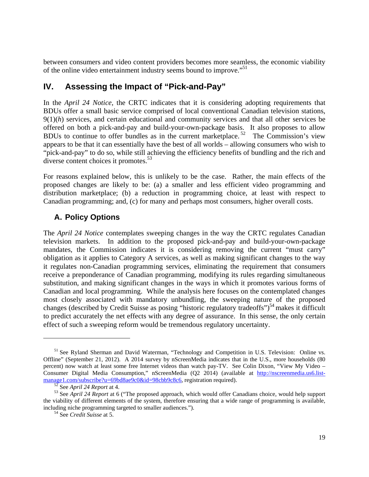between consumers and video content providers becomes more seamless, the economic viability of the online video entertainment industry seems bound to improve."51

## **IV. Assessing the Impact of "Pick-and-Pay"**

In the *April 24 Notice*, the CRTC indicates that it is considering adopting requirements that BDUs offer a small basic service comprised of local conventional Canadian television stations, 9(1)(*h*) services, and certain educational and community services and that all other services be offered on both a pick-and-pay and build-your-own-package basis. It also proposes to allow BDUs to continue to offer bundles as in the current marketplace. 52 The Commission's view appears to be that it can essentially have the best of all worlds – allowing consumers who wish to "pick-and-pay" to do so, while still achieving the efficiency benefits of bundling and the rich and diverse content choices it promotes.<sup>53</sup>

For reasons explained below, this is unlikely to be the case. Rather, the main effects of the proposed changes are likely to be: (a) a smaller and less efficient video programming and distribution marketplace; (b) a reduction in programming choice, at least with respect to Canadian programming; and, (c) for many and perhaps most consumers, higher overall costs.

#### **A. Policy Options**

The *April 24 Notice* contemplates sweeping changes in the way the CRTC regulates Canadian television markets. In addition to the proposed pick-and-pay and build-your-own-package mandates, the Commission indicates it is considering removing the current "must carry" obligation as it applies to Category A services, as well as making significant changes to the way it regulates non-Canadian programming services, eliminating the requirement that consumers receive a preponderance of Canadian programming, modifying its rules regarding simultaneous substitution, and making significant changes in the ways in which it promotes various forms of Canadian and local programming. While the analysis here focuses on the contemplated changes most closely associated with mandatory unbundling, the sweeping nature of the proposed changes (described by Credit Suisse as posing "historic regulatory tradeoffs")<sup>54</sup> makes it difficult to predict accurately the net effects with any degree of assurance. In this sense, the only certain effect of such a sweeping reform would be tremendous regulatory uncertainty.

<sup>&</sup>lt;sup>51</sup> See Ryland Sherman and David Waterman, "Technology and Competition in U.S. Television: Online vs. Offline" (September 21, 2012). A 2014 survey by nScreenMedia indicates that in the U.S., more households (80 percent) now watch at least some free Internet videos than watch pay-TV. See Colin Dixon, "View My Video – Consumer Digital Media Consumption," nScreenMedia (Q2 2014) (available at http://nscreenmedia.us6.listmanage1.com/subscribe?u=69bd8ae9c0&id=98cbb9c8c6, registration required).<br><sup>52</sup> See *April 24 Report* at 4.<br><sup>53</sup> See *April 24 Report* at 6 ("The proposed approach, which would offer Canadians choice, would help support

the viability of different elements of the system, therefore ensuring that a wide range of programming is available, including niche programming targeted to smaller audiences."). 54 See *Credit Suisse* at 5.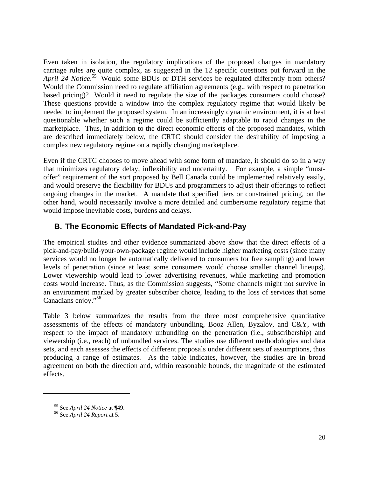Even taken in isolation, the regulatory implications of the proposed changes in mandatory carriage rules are quite complex, as suggested in the 12 specific questions put forward in the April 24 Notice.<sup>55</sup> Would some BDUs or DTH services be regulated differently from others? Would the Commission need to regulate affiliation agreements (e.g., with respect to penetration based pricing)? Would it need to regulate the size of the packages consumers could choose? These questions provide a window into the complex regulatory regime that would likely be needed to implement the proposed system. In an increasingly dynamic environment, it is at best questionable whether such a regime could be sufficiently adaptable to rapid changes in the marketplace. Thus, in addition to the direct economic effects of the proposed mandates, which are described immediately below, the CRTC should consider the desirability of imposing a complex new regulatory regime on a rapidly changing marketplace.

Even if the CRTC chooses to move ahead with some form of mandate, it should do so in a way that minimizes regulatory delay, inflexibility and uncertainty. For example, a simple "mustoffer" requirement of the sort proposed by Bell Canada could be implemented relatively easily, and would preserve the flexibility for BDUs and programmers to adjust their offerings to reflect ongoing changes in the market. A mandate that specified tiers or constrained pricing, on the other hand, would necessarily involve a more detailed and cumbersome regulatory regime that would impose inevitable costs, burdens and delays.

#### **B. The Economic Effects of Mandated Pick-and-Pay**

The empirical studies and other evidence summarized above show that the direct effects of a pick-and-pay/build-your-own-package regime would include higher marketing costs (since many services would no longer be automatically delivered to consumers for free sampling) and lower levels of penetration (since at least some consumers would choose smaller channel lineups). Lower viewership would lead to lower advertising revenues, while marketing and promotion costs would increase. Thus, as the Commission suggests, "Some channels might not survive in an environment marked by greater subscriber choice, leading to the loss of services that some Canadians enjoy."<sup>56</sup>

Table 3 below summarizes the results from the three most comprehensive quantitative assessments of the effects of mandatory unbundling, Booz Allen, Byzalov, and C&Y, with respect to the impact of mandatory unbundling on the penetration (i.e., subscribership) and viewership (i.e., reach) of unbundled services. The studies use different methodologies and data sets, and each assesses the effects of different proposals under different sets of assumptions, thus producing a range of estimates. As the table indicates, however, the studies are in broad agreement on both the direction and, within reasonable bounds, the magnitude of the estimated effects.

<sup>55</sup> See *April 24 Notice* at ¶49. 56 See *April 24 Report* at 5.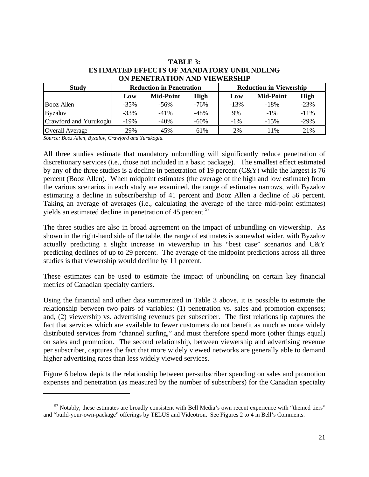| <b>Study</b>           |         | <b>Reduction in Penetration</b> |             | <b>Reduction in Viewership</b> |                  |         |  |
|------------------------|---------|---------------------------------|-------------|--------------------------------|------------------|---------|--|
|                        | Low     | <b>Mid-Point</b>                | <b>High</b> | Low                            | <b>Mid-Point</b> | High    |  |
| Booz Allen             | $-35%$  | $-56\%$                         | $-76%$      | $-13%$                         | $-18%$           | $-23%$  |  |
| <b>Byzalov</b>         | $-33%$  | $-41%$                          | $-48%$      | 9%                             | $-1\%$           | $-11\%$ |  |
| Crawford and Yurukoglu | $-19%$  | $-40%$                          | $-60%$      | $-1\%$                         | $-15%$           | $-29%$  |  |
| <b>Overall Average</b> | $-29\%$ | $-45%$                          | $-61\%$     | $-2\%$                         | $-11\%$          | $-21%$  |  |

#### **TABLE 3: ESTIMATED EFFECTS OF MANDATORY UNBUNDLING ON PENETRATION AND VIEWERSHIP**

*Source: Booz Allen, Byzalov, Crawford and Yurukoglu.* 

 $\overline{a}$ 

All three studies estimate that mandatory unbundling will significantly reduce penetration of discretionary services (i.e., those not included in a basic package). The smallest effect estimated by any of the three studies is a decline in penetration of 19 percent (C&Y) while the largest is 76 percent (Booz Allen). When midpoint estimates (the average of the high and low estimate) from the various scenarios in each study are examined, the range of estimates narrows, with Byzalov estimating a decline in subscribership of 41 percent and Booz Allen a decline of 56 percent. Taking an average of averages (i.e., calculating the average of the three mid-point estimates) yields an estimated decline in penetration of 45 percent.<sup>57</sup>

The three studies are also in broad agreement on the impact of unbundling on viewership. As shown in the right-hand side of the table, the range of estimates is somewhat wider, with Byzalov actually predicting a slight increase in viewership in his "best case" scenarios and C&Y predicting declines of up to 29 percent. The average of the midpoint predictions across all three studies is that viewership would decline by 11 percent.

These estimates can be used to estimate the impact of unbundling on certain key financial metrics of Canadian specialty carriers.

Using the financial and other data summarized in Table 3 above, it is possible to estimate the relationship between two pairs of variables: (1) penetration vs. sales and promotion expenses; and, (2) viewership vs. advertising revenues per subscriber. The first relationship captures the fact that services which are available to fewer customers do not benefit as much as more widely distributed services from "channel surfing," and must therefore spend more (other things equal) on sales and promotion. The second relationship, between viewership and advertising revenue per subscriber, captures the fact that more widely viewed networks are generally able to demand higher advertising rates than less widely viewed services.

Figure 6 below depicts the relationship between per-subscriber spending on sales and promotion expenses and penetration (as measured by the number of subscribers) for the Canadian specialty

<sup>&</sup>lt;sup>57</sup> Notably, these estimates are broadly consistent with Bell Media's own recent experience with "themed tiers" and "build-your-own-package" offerings by TELUS and Videotron. See Figures 2 to 4 in Bell's Comments.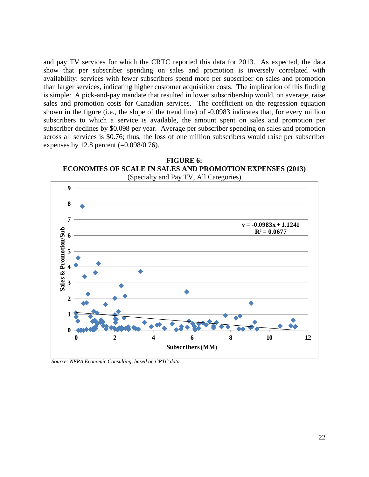and pay TV services for which the CRTC reported this data for 2013. As expected, the data show that per subscriber spending on sales and promotion is inversely correlated with availability: services with fewer subscribers spend more per subscriber on sales and promotion than larger services, indicating higher customer acquisition costs. The implication of this finding is simple: A pick-and-pay mandate that resulted in lower subscribership would, on average, raise sales and promotion costs for Canadian services. The coefficient on the regression equation shown in the figure (i.e., the slope of the trend line) of -0.0983 indicates that, for every million subscribers to which a service is available, the amount spent on sales and promotion per subscriber declines by \$0.098 per year. Average per subscriber spending on sales and promotion across all services is \$0.76; thus, the loss of one million subscribers would raise per subscriber expenses by 12.8 percent  $(=0.098/0.76)$ .

![](_page_24_Figure_1.jpeg)

*Source: NERA Economic Consulting, based on CRTC data.*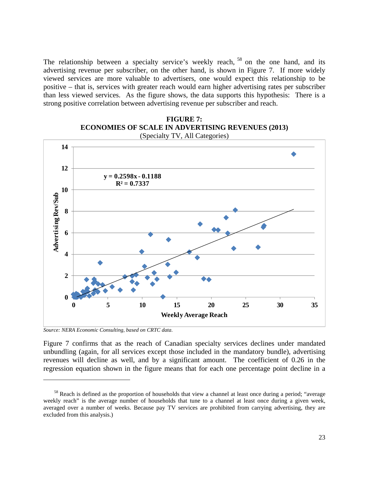The relationship between a specialty service's weekly reach, <sup>58</sup> on the one hand, and its advertising revenue per subscriber, on the other hand, is shown in Figure 7. If more widely viewed services are more valuable to advertisers, one would expect this relationship to be positive – that is, services with greater reach would earn higher advertising rates per subscriber than less viewed services. As the figure shows, the data supports this hypothesis: There is a strong positive correlation between advertising revenue per subscriber and reach.

#### **FIGURE 7: ECONOMIES OF SCALE IN ADVERTISING REVENUES (2013)**  (Specialty TV, All Categories)

![](_page_25_Figure_2.jpeg)

*Source: NERA Economic Consulting, based on CRTC data.* 

 $\overline{a}$ 

Figure 7 confirms that as the reach of Canadian specialty services declines under mandated unbundling (again, for all services except those included in the mandatory bundle), advertising revenues will decline as well, and by a significant amount. The coefficient of 0.26 in the regression equation shown in the figure means that for each one percentage point decline in a

<sup>&</sup>lt;sup>58</sup> Reach is defined as the proportion of households that view a channel at least once during a period; "average weekly reach" is the average number of households that tune to a channel at least once during a given week, averaged over a number of weeks. Because pay TV services are prohibited from carrying advertising, they are excluded from this analysis.)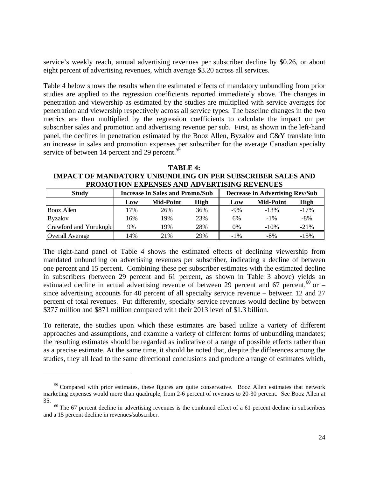service's weekly reach, annual advertising revenues per subscriber decline by \$0.26, or about eight percent of advertising revenues, which average \$3.20 across all services.

Table 4 below shows the results when the estimated effects of mandatory unbundling from prior studies are applied to the regression coefficients reported immediately above. The changes in penetration and viewership as estimated by the studies are multiplied with service averages for penetration and viewership respectively across all service types. The baseline changes in the two metrics are then multiplied by the regression coefficients to calculate the impact on per subscriber sales and promotion and advertising revenue per sub. First, as shown in the left-hand panel, the declines in penetration estimated by the Booz Allen, Byzalov and C&Y translate into an increase in sales and promotion expenses per subscriber for the average Canadian specialty service of between 14 percent and 29 percent.<sup>59</sup>

**TABLE 4: IMPACT OF MANDATORY UNBUNDLING ON PER SUBSCRIBER SALES AND PROMOTION EXPENSES AND ADVERTISING REVENUES** 

| <b>Study</b>           |     | <b>Increase in Sales and Promo/Sub</b> |      | <b>Decrease in Advertising Rev/Sub</b> |                  |        |  |
|------------------------|-----|----------------------------------------|------|----------------------------------------|------------------|--------|--|
|                        | Low | <b>Mid-Point</b>                       | High | Low                                    | <b>Mid-Point</b> | High   |  |
| <b>Booz</b> Allen      | 17% | 26%                                    | 36%  | $-9%$                                  | $-13%$           | $-17%$ |  |
| <b>Byzalov</b>         | 16% | 19%                                    | 23%  | 6%                                     | $-1\%$           | $-8%$  |  |
| Crawford and Yurukoglu | 9%  | 19%                                    | 28%  | 0%                                     | $-10%$           | $-21%$ |  |
| <b>Overall Average</b> | 14% | 21\%                                   | 29%  | $-1\%$                                 | $-8%$            | $-15%$ |  |

The right-hand panel of Table 4 shows the estimated effects of declining viewership from mandated unbundling on advertising revenues per subscriber, indicating a decline of between one percent and 15 percent. Combining these per subscriber estimates with the estimated decline in subscribers (between 29 percent and 61 percent, as shown in Table 3 above) yields an estimated decline in actual advertising revenue of between 29 percent and 67 percent,<sup>60</sup> or – since advertising accounts for 40 percent of all specialty service revenue – between 12 and 27 percent of total revenues. Put differently, specialty service revenues would decline by between \$377 million and \$871 million compared with their 2013 level of \$1.3 billion.

To reiterate, the studies upon which these estimates are based utilize a variety of different approaches and assumptions, and examine a variety of different forms of unbundling mandates; the resulting estimates should be regarded as indicative of a range of possible effects rather than as a precise estimate. At the same time, it should be noted that, despite the differences among the studies, they all lead to the same directional conclusions and produce a range of estimates which,

<sup>&</sup>lt;sup>59</sup> Compared with prior estimates, these figures are quite conservative. Booz Allen estimates that network marketing expenses would more than quadruple, from 2-6 percent of revenues to 20-30 percent. See Booz Allen at

<sup>&</sup>lt;sup>55.</sup> <sup>60</sup> The 67 percent decline in advertising revenues is the combined effect of a 61 percent decline in subscribers and a 15 percent decline in revenues/subscriber.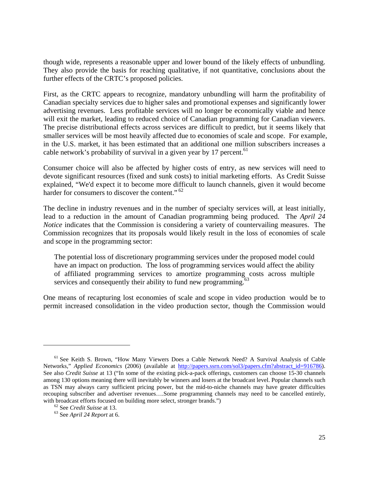though wide, represents a reasonable upper and lower bound of the likely effects of unbundling. They also provide the basis for reaching qualitative, if not quantitative, conclusions about the further effects of the CRTC's proposed policies.

First, as the CRTC appears to recognize, mandatory unbundling will harm the profitability of Canadian specialty services due to higher sales and promotional expenses and significantly lower advertising revenues. Less profitable services will no longer be economically viable and hence will exit the market, leading to reduced choice of Canadian programming for Canadian viewers. The precise distributional effects across services are difficult to predict, but it seems likely that smaller services will be most heavily affected due to economies of scale and scope. For example, in the U.S. market, it has been estimated that an additional one million subscribers increases a cable network's probability of survival in a given year by 17 percent.<sup>61</sup>

Consumer choice will also be affected by higher costs of entry, as new services will need to devote significant resources (fixed and sunk costs) to initial marketing efforts. As Credit Suisse explained, "We'd expect it to become more difficult to launch channels, given it would become harder for consumers to discover the content."<sup>62</sup>

The decline in industry revenues and in the number of specialty services will, at least initially, lead to a reduction in the amount of Canadian programming being produced. The *April 24 Notice* indicates that the Commission is considering a variety of countervailing measures. The Commission recognizes that its proposals would likely result in the loss of economies of scale and scope in the programming sector:

The potential loss of discretionary programming services under the proposed model could have an impact on production. The loss of programming services would affect the ability of affiliated programming services to amortize programming costs across multiple services and consequently their ability to fund new programming. $^{63}$ 

One means of recapturing lost economies of scale and scope in video production would be to permit increased consolidation in the video production sector, though the Commission would

<sup>&</sup>lt;sup>61</sup> See Keith S. Brown, "How Many Viewers Does a Cable Network Need? A Survival Analysis of Cable Networks," *Applied Economics* (2006) (available at http://papers.ssrn.com/sol3/papers.cfm?abstract\_id=916786). See also *Credit Suisse* at 13 ("In some of the existing pick-a-pack offerings, customers can choose 15-30 channels among 130 options meaning there will inevitably be winners and losers at the broadcast level. Popular channels such as TSN may always carry sufficient pricing power, but the mid-to-niche channels may have greater difficulties recouping subscriber and advertiser revenues….Some programming channels may need to be cancelled entirely, with broadcast efforts focused on building more select, stronger brands.")<br>
<sup>62</sup> See *Credit Suisse* at 13.<br>
<sup>63</sup> See *April 24 Report* at 6.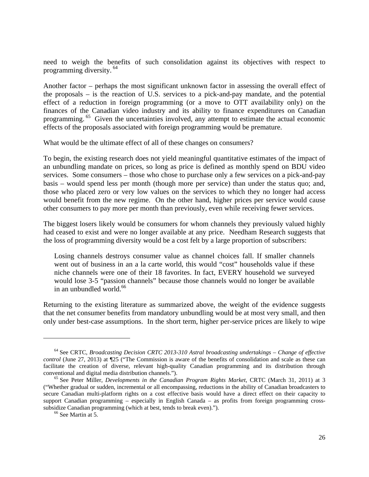need to weigh the benefits of such consolidation against its objectives with respect to programming diversity.<sup>64</sup>

Another factor – perhaps the most significant unknown factor in assessing the overall effect of the proposals – is the reaction of U.S. services to a pick-and-pay mandate, and the potential effect of a reduction in foreign programming (or a move to OTT availability only) on the finances of the Canadian video industry and its ability to finance expenditures on Canadian programming.<sup>65</sup> Given the uncertainties involved, any attempt to estimate the actual economic effects of the proposals associated with foreign programming would be premature.

What would be the ultimate effect of all of these changes on consumers?

To begin, the existing research does not yield meaningful quantitative estimates of the impact of an unbundling mandate on prices, so long as price is defined as monthly spend on BDU video services. Some consumers – those who chose to purchase only a few services on a pick-and-pay basis – would spend less per month (though more per service) than under the status quo; and, those who placed zero or very low values on the services to which they no longer had access would benefit from the new regime. On the other hand, higher prices per service would cause other consumers to pay more per month than previously, even while receiving fewer services.

The biggest losers likely would be consumers for whom channels they previously valued highly had ceased to exist and were no longer available at any price. Needham Research suggests that the loss of programming diversity would be a cost felt by a large proportion of subscribers:

Losing channels destroys consumer value as channel choices fall. If smaller channels went out of business in an a la carte world, this would "cost" households value if these niche channels were one of their 18 favorites. In fact, EVERY household we surveyed would lose 3-5 "passion channels" because those channels would no longer be available in an unbundled world. $66$ 

Returning to the existing literature as summarized above, the weight of the evidence suggests that the net consumer benefits from mandatory unbundling would be at most very small, and then only under best-case assumptions. In the short term, higher per-service prices are likely to wipe

<sup>64</sup> See CRTC, *Broadcasting Decision CRTC 2013-310 Astral broadcasting undertakings – Change of effective control* (June 27, 2013) at ¶25 ("The Commission is aware of the benefits of consolidation and scale as these can facilitate the creation of diverse, relevant high-quality Canadian programming and its distribution through conventional and digital media distribution channels."). 65 See Peter Miller, *Developments in the Canadian Program Rights Market*, CRTC (March 31, 2011) at 3

<sup>(&</sup>quot;Whether gradual or sudden, incremental or all encompassing, reductions in the ability of Canadian broadcasters to secure Canadian multi-platform rights on a cost effective basis would have a direct effect on their capacity to support Canadian programming – especially in English Canada – as profits from foreign programming crosssubsidize Canadian programming (which at best, tends to break even)."). <sup>66</sup> See Martin at 5.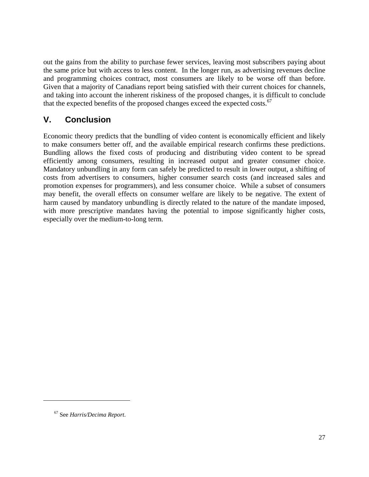out the gains from the ability to purchase fewer services, leaving most subscribers paying about the same price but with access to less content. In the longer run, as advertising revenues decline and programming choices contract, most consumers are likely to be worse off than before. Given that a majority of Canadians report being satisfied with their current choices for channels, and taking into account the inherent riskiness of the proposed changes, it is difficult to conclude that the expected benefits of the proposed changes exceed the expected costs.<sup>67</sup>

# **V. Conclusion**

Economic theory predicts that the bundling of video content is economically efficient and likely to make consumers better off, and the available empirical research confirms these predictions. Bundling allows the fixed costs of producing and distributing video content to be spread efficiently among consumers, resulting in increased output and greater consumer choice. Mandatory unbundling in any form can safely be predicted to result in lower output, a shifting of costs from advertisers to consumers, higher consumer search costs (and increased sales and promotion expenses for programmers), and less consumer choice. While a subset of consumers may benefit, the overall effects on consumer welfare are likely to be negative. The extent of harm caused by mandatory unbundling is directly related to the nature of the mandate imposed, with more prescriptive mandates having the potential to impose significantly higher costs, especially over the medium-to-long term.

<sup>67</sup> See *Harris/Decima Report*.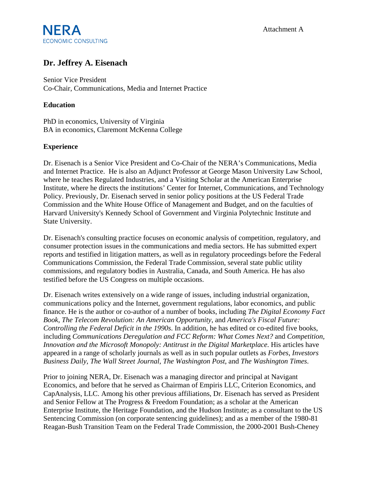# $NFRA$  Attachment A **ECONOMIC CONSULTING**

## **Dr. Jeffrey A. Eisenach**

Senior Vice President Co-Chair, Communications, Media and Internet Practice

#### **Education**

PhD in economics, University of Virginia BA in economics, Claremont McKenna College

#### **Experience**

Dr. Eisenach is a Senior Vice President and Co-Chair of the NERA's Communications, Media and Internet Practice. He is also an Adjunct Professor at George Mason University Law School, where he teaches Regulated Industries, and a Visiting Scholar at the American Enterprise Institute, where he directs the institutions' Center for Internet, Communications, and Technology Policy. Previously, Dr. Eisenach served in senior policy positions at the US Federal Trade Commission and the White House Office of Management and Budget, and on the faculties of Harvard University's Kennedy School of Government and Virginia Polytechnic Institute and State University.

Dr. Eisenach's consulting practice focuses on economic analysis of competition, regulatory, and consumer protection issues in the communications and media sectors. He has submitted expert reports and testified in litigation matters, as well as in regulatory proceedings before the Federal Communications Commission, the Federal Trade Commission, several state public utility commissions, and regulatory bodies in Australia, Canada, and South America. He has also testified before the US Congress on multiple occasions.

Dr. Eisenach writes extensively on a wide range of issues, including industrial organization, communications policy and the Internet, government regulations, labor economics, and public finance. He is the author or co-author of a number of books, including *The Digital Economy Fact Book*, *The Telecom Revolution: An American Opportunity*, and *America's Fiscal Future: Controlling the Federal Deficit in the 1990s*. In addition, he has edited or co-edited five books, including *Communications Deregulation and FCC Reform: What Comes Next?* and *Competition, Innovation and the Microsoft Monopoly: Antitrust in the Digital Marketplace*. His articles have appeared in a range of scholarly journals as well as in such popular outlets as *Forbes*, *Investors Business Daily*, *The Wall Street Journal*, *The Washington Post*, and *The Washington Times*.

Prior to joining NERA, Dr. Eisenach was a managing director and principal at Navigant Economics, and before that he served as Chairman of Empiris LLC, Criterion Economics, and CapAnalysis, LLC. Among his other previous affiliations, Dr. Eisenach has served as President and Senior Fellow at The Progress & Freedom Foundation; as a scholar at the American Enterprise Institute, the Heritage Foundation, and the Hudson Institute; as a consultant to the US Sentencing Commission (on corporate sentencing guidelines); and as a member of the 1980-81 Reagan-Bush Transition Team on the Federal Trade Commission, the 2000-2001 Bush-Cheney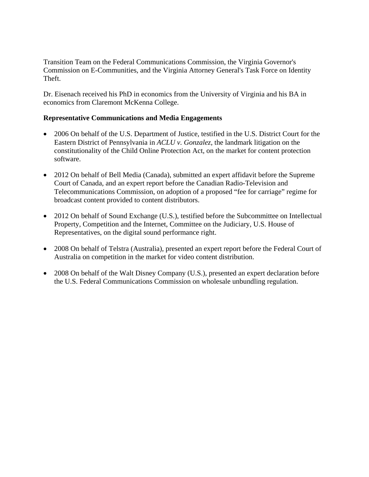Transition Team on the Federal Communications Commission, the Virginia Governor's Commission on E-Communities, and the Virginia Attorney General's Task Force on Identity Theft.

Dr. Eisenach received his PhD in economics from the University of Virginia and his BA in economics from Claremont McKenna College.

#### **Representative Communications and Media Engagements**

- 2006 On behalf of the U.S. Department of Justice, testified in the U.S. District Court for the Eastern District of Pennsylvania in *ACLU v. Gonzalez*, the landmark litigation on the constitutionality of the Child Online Protection Act, on the market for content protection software.
- 2012 On behalf of Bell Media (Canada), submitted an expert affidavit before the Supreme Court of Canada, and an expert report before the Canadian Radio-Television and Telecommunications Commission, on adoption of a proposed "fee for carriage" regime for broadcast content provided to content distributors.
- 2012 On behalf of Sound Exchange (U.S.), testified before the Subcommittee on Intellectual Property, Competition and the Internet, Committee on the Judiciary, U.S. House of Representatives, on the digital sound performance right.
- 2008 On behalf of Telstra (Australia), presented an expert report before the Federal Court of Australia on competition in the market for video content distribution.
- 2008 On behalf of the Walt Disney Company (U.S.), presented an expert declaration before the U.S. Federal Communications Commission on wholesale unbundling regulation.